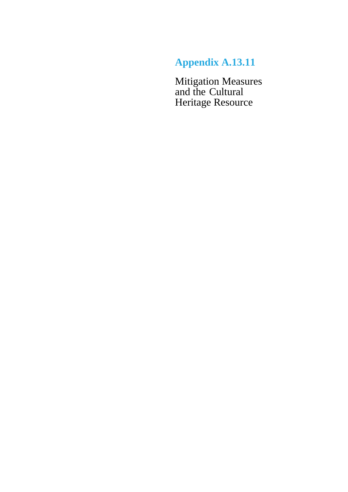# **Appendix A.13.11**

Mitigation Measures and the Cultural Heritage Resource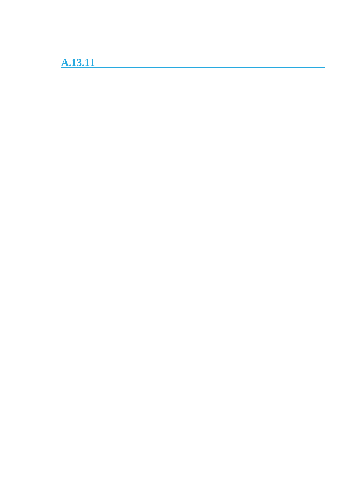**A.13.11**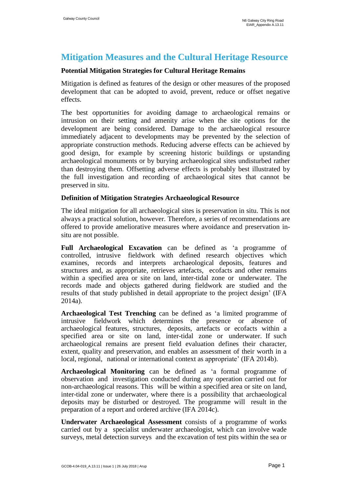## **Mitigation Measures and the Cultural Heritage Resource**

### **Potential Mitigation Strategies for Cultural Heritage Remains**

Mitigation is defined as features of the design or other measures of the proposed development that can be adopted to avoid, prevent, reduce or offset negative effects.

The best opportunities for avoiding damage to archaeological remains or intrusion on their setting and amenity arise when the site options for the development are being considered. Damage to the archaeological resource immediately adjacent to developments may be prevented by the selection of appropriate construction methods. Reducing adverse effects can be achieved by good design, for example by screening historic buildings or upstanding archaeological monuments or by burying archaeological sites undisturbed rather than destroying them. Offsetting adverse effects is probably best illustrated by the full investigation and recording of archaeological sites that cannot be preserved in situ.

### **Definition of Mitigation Strategies Archaeological Resource**

The ideal mitigation for all archaeological sites is preservation in situ. This is not always a practical solution, however. Therefore, a series of recommendations are offered to provide ameliorative measures where avoidance and preservation insitu are not possible.

**Full Archaeological Excavation** can be defined as 'a programme of controlled, intrusive fieldwork with defined research objectives which examines, records and interprets archaeological deposits, features and structures and, as appropriate, retrieves artefacts, ecofacts and other remains within a specified area or site on land, inter-tidal zone or underwater. The records made and objects gathered during fieldwork are studied and the results of that study published in detail appropriate to the project design' (IFA 2014a).

**Archaeological Test Trenching** can be defined as 'a limited programme of intrusive fieldwork which determines the presence or absence of archaeological features, structures, deposits, artefacts or ecofacts within a specified area or site on land, inter-tidal zone or underwater. If such archaeological remains are present field evaluation defines their character, extent, quality and preservation, and enables an assessment of their worth in a local, regional, national or international context as appropriate' (IFA 2014b).

**Archaeological Monitoring** can be defined as 'a formal programme of observation and investigation conducted during any operation carried out for non-archaeological reasons. This will be within a specified area or site on land, inter-tidal zone or underwater, where there is a possibility that archaeological deposits may be disturbed or destroyed. The programme will result in the preparation of a report and ordered archive (IFA 2014c).

**Underwater Archaeological Assessment** consists of a programme of works carried out by a specialist underwater archaeologist, which can involve wade surveys, metal detection surveys and the excavation of test pits within the sea or